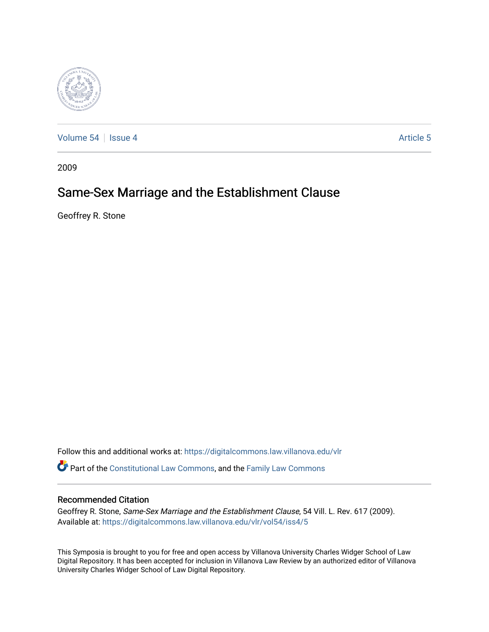

[Volume 54](https://digitalcommons.law.villanova.edu/vlr/vol54) | [Issue 4](https://digitalcommons.law.villanova.edu/vlr/vol54/iss4) Article 5

2009

# Same-Sex Marriage and the Establishment Clause

Geoffrey R. Stone

Follow this and additional works at: [https://digitalcommons.law.villanova.edu/vlr](https://digitalcommons.law.villanova.edu/vlr?utm_source=digitalcommons.law.villanova.edu%2Fvlr%2Fvol54%2Fiss4%2F5&utm_medium=PDF&utm_campaign=PDFCoverPages)

Part of the [Constitutional Law Commons,](http://network.bepress.com/hgg/discipline/589?utm_source=digitalcommons.law.villanova.edu%2Fvlr%2Fvol54%2Fiss4%2F5&utm_medium=PDF&utm_campaign=PDFCoverPages) and the [Family Law Commons](http://network.bepress.com/hgg/discipline/602?utm_source=digitalcommons.law.villanova.edu%2Fvlr%2Fvol54%2Fiss4%2F5&utm_medium=PDF&utm_campaign=PDFCoverPages)

## Recommended Citation

Geoffrey R. Stone, Same-Sex Marriage and the Establishment Clause, 54 Vill. L. Rev. 617 (2009). Available at: [https://digitalcommons.law.villanova.edu/vlr/vol54/iss4/5](https://digitalcommons.law.villanova.edu/vlr/vol54/iss4/5?utm_source=digitalcommons.law.villanova.edu%2Fvlr%2Fvol54%2Fiss4%2F5&utm_medium=PDF&utm_campaign=PDFCoverPages) 

This Symposia is brought to you for free and open access by Villanova University Charles Widger School of Law Digital Repository. It has been accepted for inclusion in Villanova Law Review by an authorized editor of Villanova University Charles Widger School of Law Digital Repository.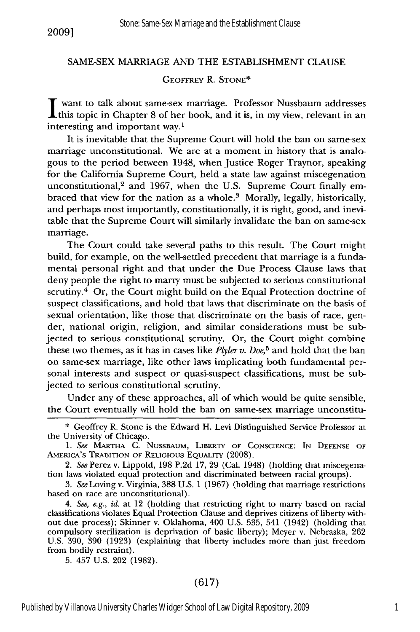### SAME-SEX MARRIAGE AND THE ESTABLISHMENT CLAUSE

#### GEOFFREY R. **STONE\***

**I** want to talk about same-sex marriage. Professor Nussbaum addresses this topic in Chapter 8 of her book, and it is, in my view, relevant in an interesting and important way.1

It is inevitable that the Supreme Court will hold the ban on same-sex marriage unconstitutional. We are at a moment in history that is analogous to the period between 1948, when Justice Roger Traynor, speaking for the California Supreme Court, held a state law against miscegenation unconstitutional, $2$  and 1967, when the U.S. Supreme Court finally embraced that view for the nation as a whole.<sup>3</sup> Morally, legally, historically, and perhaps most importantly, constitutionally, it is right, good, and inevitable that the Supreme Court will similarly invalidate the ban on same-sex marriage.

The Court could take several paths to this result. The Court might build, for example, on the well-settled precedent that marriage is a fundamental personal right and that under the Due Process Clause laws that deny people the right to marry must be subjected to serious constitutional scrutiny.<sup>4</sup> Or, the Court might build on the Equal Protection doctrine of suspect classifications, and hold that laws that discriminate on the basis of sexual orientation, like those that discriminate on the basis of race, gender, national origin, religion, and similar considerations must be subjected to serious constitutional scrutiny. Or, the Court might combine these two themes, as it has in cases like *Plyler v. Doe,5* and hold that the ban on same-sex marriage, like other laws implicating both fundamental personal interests and suspect or quasi-suspect classifications, must be subjected to serious constitutional scrutiny.

Under any of these approaches, all of which would be quite sensible, the Court eventually will hold the ban on same-sex marriage unconstitu-

5. 457 U.S. 202 (1982).

### (617)

<sup>\*</sup> Geoffrey R. Stone is the Edward H. Levi Distinguished Service Professor at the University of Chicago.

*<sup>1.</sup> See* MARTHA C. NUSSBAUM, LIBERTY OF CONSCIENCE: IN DEFENSE OF AMERICA'S TRADITION OF RELIGIOUs EQUALITY (2008).

*<sup>2.</sup> See* Perez v. Lippold, 198 P.2d 17, 29 (Cal. 1948) (holding that miscegenation laws violated equal protection and discriminated between racial groups).

*<sup>3.</sup> See* Loving v. Virginia, 388 U.S. 1 (1967) (holding that marriage restrictions based on race are unconstitutional).

*<sup>4.</sup> See, e.g., id.* at 12 (holding that restricting right to marry based on racial classifications violates Equal Protection Clause and deprives citizens of liberty without due process); Skinner v. Oklahoma, 400 U.S. 535, 541 (1942) (holding that compulsory sterilization is deprivation of basic liberty); Meyer v. Nebraska, 262 U.S. 390, 390 (1923) (explaining that liberty includes more than just freedom from bodily restraint).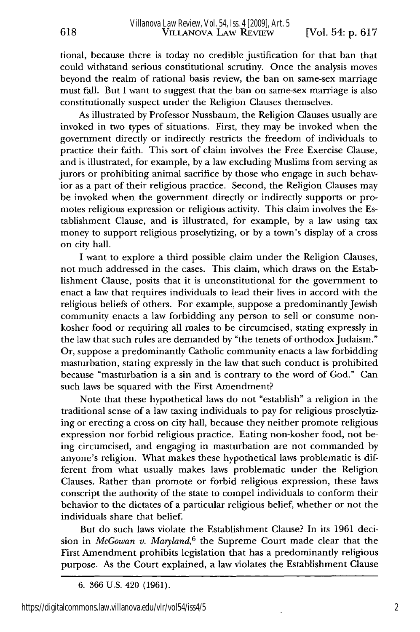618

tional, because there is today no credible justification for that ban that could withstand serious constitutional scrutiny. Once the analysis moves beyond the realm of rational basis review, the ban on same-sex marriage must fall. But I want to suggest that the ban on same-sex marriage is also constitutionally suspect under the Religion Clauses themselves.

As illustrated by Professor Nussbaum, the Religion Clauses usually are invoked in two types of situations. First, they may be invoked when the government directly or indirectly restricts the freedom of individuals to practice their faith. This sort of claim involves the Free Exercise Clause, and is illustrated, for example, by a law excluding Muslims from serving as jurors or prohibiting animal sacrifice by those who engage in such behavior as a part of their religious practice. Second, the Religion Clauses may be invoked when the government directly or indirectly supports or promotes religious expression or religious activity. This claim involves the Establishment Clause, and is illustrated, for example, by a law using tax money to support religious proselytizing, or by a town's display of a cross on city hall.

I want to explore a third possible claim under the Religion Clauses, not much addressed in the cases. This claim, which draws on the Establishment Clause, posits that it is unconstitutional for the government to enact a law that requires individuals to lead their lives in accord with the religious beliefs of others. For example, suppose a predominantly Jewish community enacts a law forbidding any person to sell or consume nonkosher food or requiring all males to be circumcised, stating expressly in the law that such rules are demanded by "the tenets of orthodox Judaism." Or, suppose a predominantly Catholic community enacts a law forbidding masturbation, stating expressly in the law that such conduct is prohibited because "masturbation is a sin and is contrary to the word of God." Can such laws be squared with the First Amendment?

Note that these hypothetical laws do not "establish" a religion in the traditional sense of a law taxing individuals to pay for religious proselytizing or erecting a cross on city hall, because they neither promote religious expression nor forbid religious practice. Eating non-kosher food, not being circumcised, and engaging in masturbation are not commanded by anyone's religion. What makes these hypothetical laws problematic is different from what usually makes laws problematic under the Religion Clauses. Rather than promote or forbid religious expression, these laws conscript the authority of the state to compel individuals to conform their behavior to the dictates of a particular religious belief, whether or not the individuals share that belief.

But do such laws violate the Establishment Clause? In its 1961 decision in *McGowan v. Maryland,6* the Supreme Court made clear that the First Amendment prohibits legislation that has a predominantly religious purpose. As the Court explained, a law violates the Establishment Clause

<sup>6. 366</sup> U.S. 420 (1961).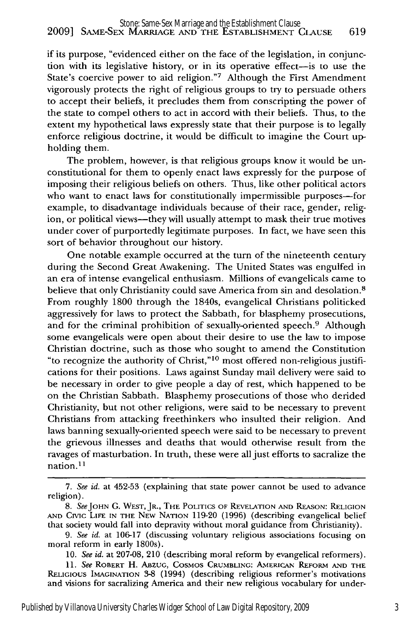if its purpose, "evidenced either on the face of the legislation, in conjunction with its legislative history, or in its operative effect-is to use the State's coercive power to aid religion."7 Although the First Amendment vigorously protects the right of religious groups to try to persuade others to accept their beliefs, it precludes them from conscripting the power of the state to compel others to act in accord with their beliefs. Thus, to the extent my hypothetical laws expressly state that their purpose is to legally enforce religious doctrine, it would be difficult to imagine the Court upholding them.

The problem, however, is that religious groups know it would be unconstitutional for them to openly enact laws expressly for the purpose of imposing their religious beliefs on others. Thus, like other political actors who want to enact laws for constitutionally impermissible purposes-for example, to disadvantage individuals because of their race, gender, religion, or political views-they will usually attempt to mask their true motives under cover of purportedly legitimate purposes. In fact, we have seen this sort of behavior throughout our history.

One notable example occurred at the turn of the nineteenth century during the Second Great Awakening. The United States was engulfed in an era of intense evangelical enthusiasm. Millions of evangelicals came to believe that only Christianity could save America from sin and desolation.<sup>8</sup> From roughly 1800 through the 1840s, evangelical Christians politicked aggressively for laws to protect the Sabbath, for blasphemy prosecutions, and for the criminal prohibition of sexually-oriented speech.<sup>9</sup> Although some evangelicals were open about their desire to use the law to impose Christian doctrine, such as those who sought to amend the Constitution "to recognize the authority of Christ," $10 \text{ most offered non-religious justifi-}$ cations for their positions. Laws against Sunday mail delivery were said to be necessary in order to give people a day of rest, which happened to be on the Christian Sabbath. Blasphemy prosecutions of those who derided Christianity, but not other religions, were said to be necessary to prevent Christians from attacking freethinkers who insulted their religion. And laws banning sexually-oriented speech were said to be necessary to prevent the grievous illnesses and deaths that would otherwise result from the ravages of masturbation. In truth, these were all just efforts to sacralize the nation.<sup>11</sup>

<sup>7.</sup> *See id.* at 452-53 (explaining that state power cannot be used to advance religion).

*<sup>8.</sup> SeeJOHN* **G.** WEST, JR., THE POLITICS OF REVELATION **AND** REASON: RELIGION **AND** Civic LiFE **IN** THE NEW NATION 119-20 (1996) (describing evangelical belief that society would fall into depravity without moral guidance from Christianity).

*<sup>9.</sup> See id.* at 106-17 (discussing voluntary religious associations focusing on moral reform in early 1800s).

<sup>10.</sup> *See id.* at 207-08, 210 (describing moral reform by evangelical reformers).

<sup>11.</sup> *See* ROBERT H. **ABZUG,** COSMOS **CRUMBLING: AMERICAN REFORM AND THE RELIGIOUS** IMAGINATION **3-8** (1994) (describing religious reformer's motivations and visions for sacralizing America and their new religious vocabulary for under-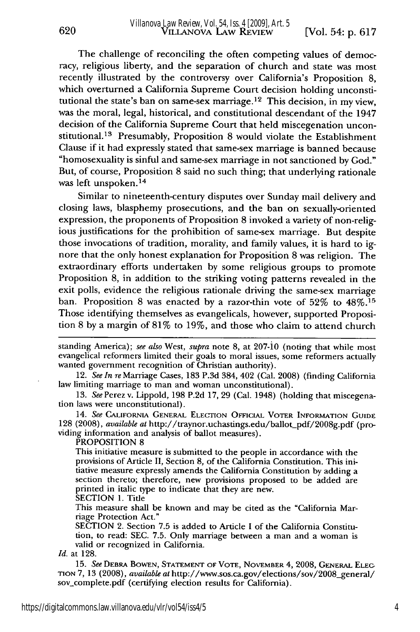The challenge of reconciling the often competing values of democracy, religious liberty, and the separation of church and state was most recently illustrated by the controversy over California's Proposition 8, which overturned a California Supreme Court decision holding unconstitutional the state's ban on same-sex marriage. 12 This decision, in my view, was the moral, legal, historical, and constitutional descendant of the 1947 decision of the California Supreme Court that held miscegenation unconstitutional.<sup>13</sup> Presumably, Proposition 8 would violate the Establishment Clause if it had expressly stated that same-sex marriage is banned because "homosexuality is sinful and same-sex marriage in not sanctioned by God." But, of course, Proposition 8 said no such thing; that underlying rationale was left unspoken.<sup>14</sup>

Similar to nineteenth-century disputes over Sunday mail delivery and closing laws, blasphemy prosecutions, and the ban on sexually-oriented expression, the proponents of Proposition 8 invoked a variety of non-religious justifications for the prohibition of same-sex marriage. But despite those invocations of tradition, morality, and family values, it is hard to ignore that the only honest explanation for Proposition 8 was religion. The extraordinary efforts undertaken by some religious groups to promote Proposition 8, in addition to the striking voting patterns revealed in the exit polls, evidence the religious rationale driving the same-sex marriage ban. Proposition 8 was enacted by a razor-thin vote of  $52\%$  to  $48\%.$ <sup>15</sup> Those identifying themselves as evangelicals, however, supported Proposition 8 by a margin of 81% to 19%, and those who claim to attend church

standing America); *see also* West, *supra* note 8, at 207-jo (noting that while most evangelical reformers limited their goals to moral issues, some reformers actually wanted government recognition of Christian authority).

12. *See In* reMarriage Cases, 183 P.3d 384, 402 (Cal. 2008) (finding California law limiting marriage to man and woman unconstitutional).

13. *See* Perez v. Lippold, 198 P.2d 17, 29 (Cal. 1948) (holding that miscegenation laws were unconstitutional).

14. *See* **CALIFORNIA** GENERAL ELECTION **OFFICIAL** VOTER INFORMATION GUIDE 128 (2008), *available at* http://traynor.uchastings.edu/ballot-pdf/2008g.pdf (providing information and analysis of ballot measures).

PROPOSITION 8

This initiative measure is submitted to the people in accordance with the provisions of Article II, Section 8, of the California Constitution. This initiative measure expressly amends the California Constitution by adding a section thereto; therefore, new provisions proposed to be added are printed in italic type to indicate that they are new. SECTION 1. Title

This measure shall be known and may be cited as the "California Marriage Protection Act."

SECTION 2. Section 7.5 is added to Article I of the California Constitution, to read: SEC. 7.5. Only marriage between a man and a woman is valid or recognized in California.

*Id.* at 128.

**15.** *See* DEBRA BOWEN, STATEMENT OF VOTE, NOVEMBER 4, **2008,** GENERAL **ELEG TION** 7, 13 (2008), *available at* http://www.sos.ca.gov/elections/sov/2008-general/ sov.complete.pdf (certifying election results for California).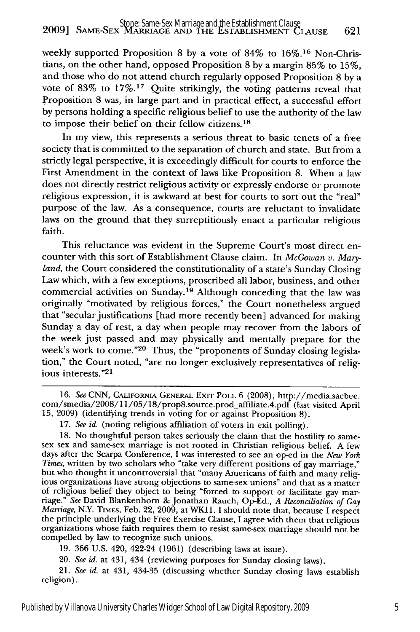weekly supported Proposition 8 by a vote of 84% to 16%.16 Non-Christians, on the other hand, opposed Proposition 8 by a margin 85% to 15%, and those who do not attend church regularly opposed Proposition 8 by a vote of 83% to 17%.17 Quite strikingly, the voting patterns reveal that Proposition 8 was, in large part and in practical effect, a successful effort by persons holding a specific religious belief to use the authority of the law to impose their belief on their fellow citizens.<sup>18</sup>

In my view, this represents a serious threat to basic tenets of a free society that is committed to the separation of church and state. But from a strictly legal perspective, it is exceedingly difficult for courts to enforce the First Amendment in the context of laws like Proposition 8. When a law does not directly restrict religious activity or expressly endorse or promote religious expression, it is awkward at best for courts to sort out the "real" purpose of the law. As a consequence, courts are reluctant to invalidate laws on the ground that they surreptitiously enact a particular religious faith.

This reluctance was evident in the Supreme Court's most direct encounter with this sort of Establishment Clause claim. In *McGowan v. Maryland,* the Court considered the constitutionality of a state's Sunday Closing Law which, with a few exceptions, proscribed all labor, business, and other commercial activities on Sunday.19 Although conceding that the law was originally "motivated by religious forces," the Court nonetheless argued that "secular justifications [had more recently been] advanced for making Sunday a day of rest, a day when people may recover from the labors of the week just passed and may physically and mentally prepare for the week's work to come."<sup>20</sup> Thus, the "proponents of Sunday closing legislation," the Court noted, "are no longer exclusively representatives of religious interests."<sup>21</sup>

19. 366 U.S. 420, 422-24 (1961) (describing laws at issue).

20. *See id.* at 431, 434 (reviewing purposes for Sunday closing laws).

21. *See id.* at 431, 434-35 (discussing whether Sunday closing laws establish religion).

<sup>16.</sup> *See* **CNN,** CALIFORNIA **GENERAL** EXIT POLL 6 (2008), http://media.sacbee. com/smedia/2008/11/05/18/prop8.source.prod\_affiliate.4.pdf (last visited April 15, 2009) (identifying trends in voting for or against Proposition 8).

<sup>17.</sup> *See id.* (noting religious affiliation of voters in exit polling).

<sup>18.</sup> No thoughtful person takes seriously the claim that the hostility to same-sex sex and same-sex marriage is not rooted in Christian religious belief. A few days after the Scarpa Conference, I was interested to see an op-ed in the *New York Times,* written by two scholars who "take very different positions of gay marriage," but who thought it uncontroversial that "many Americans of faith and many religious organizations have strong objections to same-sex unions" and that as a matter of religious belief they object to being "forced to support or facilitate gay mar- riage." *See* David Blankenhorn & Jonathan Rauch, Op-Ed., *A Reconciliation of Gay Marriage, N.Y. TIMES, Feb. 22, 2009, at WK11. I should note that, because I respect* the principle underlying the Free Exercise Clause, I agree with them that religious organizations whose faith requires them to resist same-sex marriage should not be compelled by law to recognize such unions.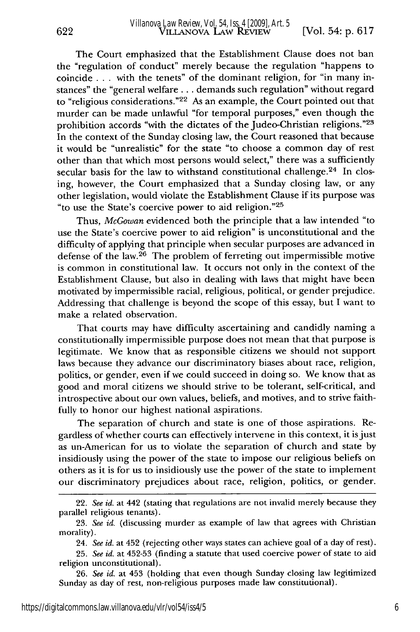The Court emphasized that the Establishment Clause does not ban the "regulation of conduct" merely because the regulation "happens to coincide **...** with the tenets" of the dominant religion, for "in many instances" the "general welfare **...** demands such regulation" without regard to "religious considerations."<sup>22</sup> As an example, the Court pointed out that murder can be made unlawful "for temporal purposes," even though the prohibition accords "with the dictates of the Judeo-Christian religions."<sup>23</sup> In the context of the Sunday closing law, the Court reasoned that because it would be "unrealistic" for the state "to choose a common day of rest other than that which most persons would select," there was a sufficiently secular basis for the law to withstand constitutional challenge.<sup>24</sup> In closing, however, the Court emphasized that a Sunday closing law, or any other legislation, would violate the Establishment Clause if its purpose was "to use the State's coercive power to aid religion." <sup>25</sup>

Thus, *McGowan* evidenced both the principle that a law intended "to use the State's coercive power to aid religion" is unconstitutional and the difficulty of applying that principle when secular purposes are advanced in defense of the law.26 The problem of ferreting out impermissible motive is common in constitutional law. It occurs not only in the context of the Establishment Clause, but also in dealing with laws that might have been motivated by impermissible racial, religious, political, or gender prejudice. Addressing that challenge is beyond the scope of this essay, but I want to make a related observation.

That courts may have difficulty ascertaining and candidly naming a constitutionally impermissible purpose does not mean that that purpose is legitimate. We know that as responsible citizens we should not support laws because they advance our discriminatory biases about race, religion, politics, or gender, even if we could succeed in doing so. We know that as good and moral citizens we should strive to be tolerant, self-critical, and introspective about our own values, beliefs, and motives, and to strive faithfully to honor our highest national aspirations.

The separation of church and state is one of those aspirations. Regardless of whether courts can effectively intervene in this context, it is just as un-American for us to violate the separation of church and state by insidiously using the power of the state to impose our religious beliefs on others as it is for us to insidiously use the power of the state to implement our discriminatory prejudices about race, religion, politics, or gender.

26. *See id.* at 453 (holding that even though Sunday closing law legitimized Sunday as day of rest, non-religious purposes made law constitutional).

622

<sup>22.</sup> *See id.* at 442 (stating that regulations are not invalid merely because they parallel religious tenants).

<sup>23.</sup> *See id.* (discussing murder as example of law that agrees with Christian morality).

<sup>24.</sup> *See id.* at 452 (rejecting other ways states can achieve goal of a day of rest).

<sup>25.</sup> *See id.* at 452-53 (finding a statute that used coercive power of state to aid religion unconstitutional).